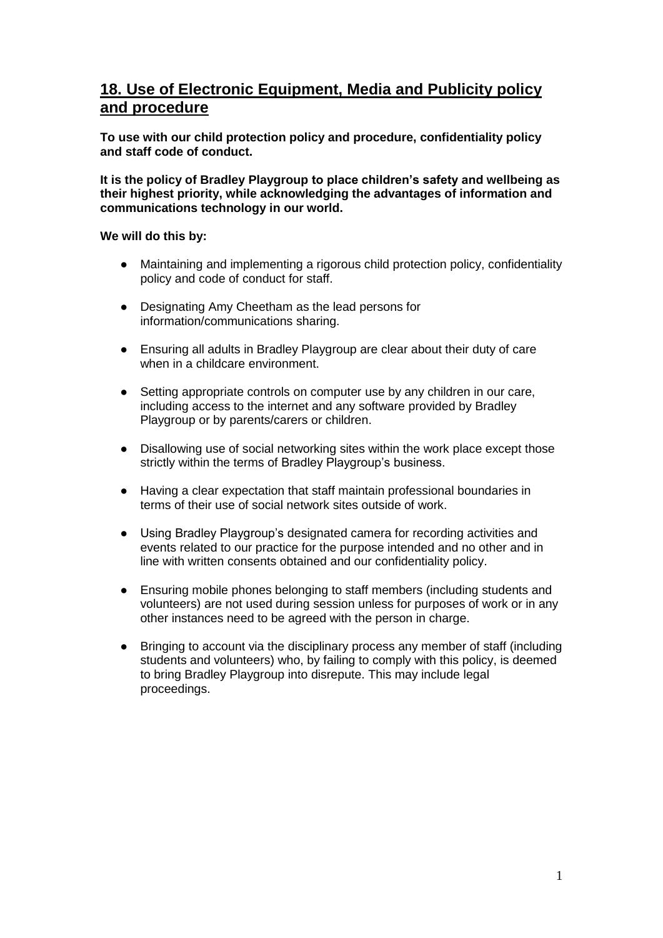# **18. Use of Electronic Equipment, Media and Publicity policy and procedure**

**To use with our child protection policy and procedure, confidentiality policy and staff code of conduct.**

**It is the policy of Bradley Playgroup to place children's safety and wellbeing as their highest priority, while acknowledging the advantages of information and communications technology in our world.**

#### **We will do this by:**

- Maintaining and implementing a rigorous child protection policy, confidentiality policy and code of conduct for staff.
- Designating Amy Cheetham as the lead persons for information/communications sharing.
- Ensuring all adults in Bradley Playgroup are clear about their duty of care when in a childcare environment.
- Setting appropriate controls on computer use by any children in our care, including access to the internet and any software provided by Bradley Playgroup or by parents/carers or children.
- Disallowing use of social networking sites within the work place except those strictly within the terms of Bradley Playgroup's business.
- Having a clear expectation that staff maintain professional boundaries in terms of their use of social network sites outside of work.
- Using Bradley Playgroup's designated camera for recording activities and events related to our practice for the purpose intended and no other and in line with written consents obtained and our confidentiality policy.
- Ensuring mobile phones belonging to staff members (including students and volunteers) are not used during session unless for purposes of work or in any other instances need to be agreed with the person in charge.
- Bringing to account via the disciplinary process any member of staff (including students and volunteers) who, by failing to comply with this policy, is deemed to bring Bradley Playgroup into disrepute. This may include legal proceedings.